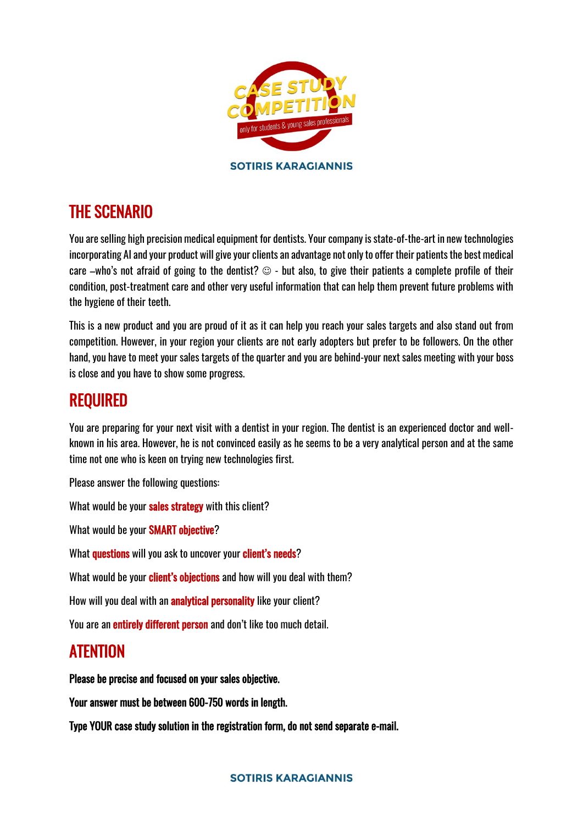

## THE SCENARIO

You are selling high precision medical equipment for dentists. Your company is state-of-the-art in new technologies incorporating AI and your product will give your clients an advantage not only to offer their patients the best medical care –who's not afraid of going to the dentist?  $\odot$  - but also, to give their patients a complete profile of their condition, post-treatment care and other very useful information that can help them prevent future problems with the hygiene of their teeth.

This is a new product and you are proud of it as it can help you reach your sales targets and also stand out from competition. However, in your region your clients are not early adopters but prefer to be followers. On the other hand, you have to meet your sales targets of the quarter and you are behind-your next sales meeting with your boss is close and you have to show some progress.

## REQUIRED

You are preparing for your next visit with a dentist in your region. The dentist is an experienced doctor and wellknown in his area. However, he is not convinced easily as he seems to be a very analytical person and at the same time not one who is keen on trying new technologies first.

Please answer the following questions:

What would be your sales strategy with this client?

What would be your SMART objective?

What **questions** will you ask to uncover your **client's needs**?

What would be your client's objections and how will you deal with them?

How will you deal with an **analytical personality** like your client?

You are an **entirely different person** and don't like too much detail.

## ATENTION

## Please be precise and focused on your sales objective.

Your answer must be between 600-750 words in length.

Type YOUR case study solution in the registration form, do not send separate e-mail.